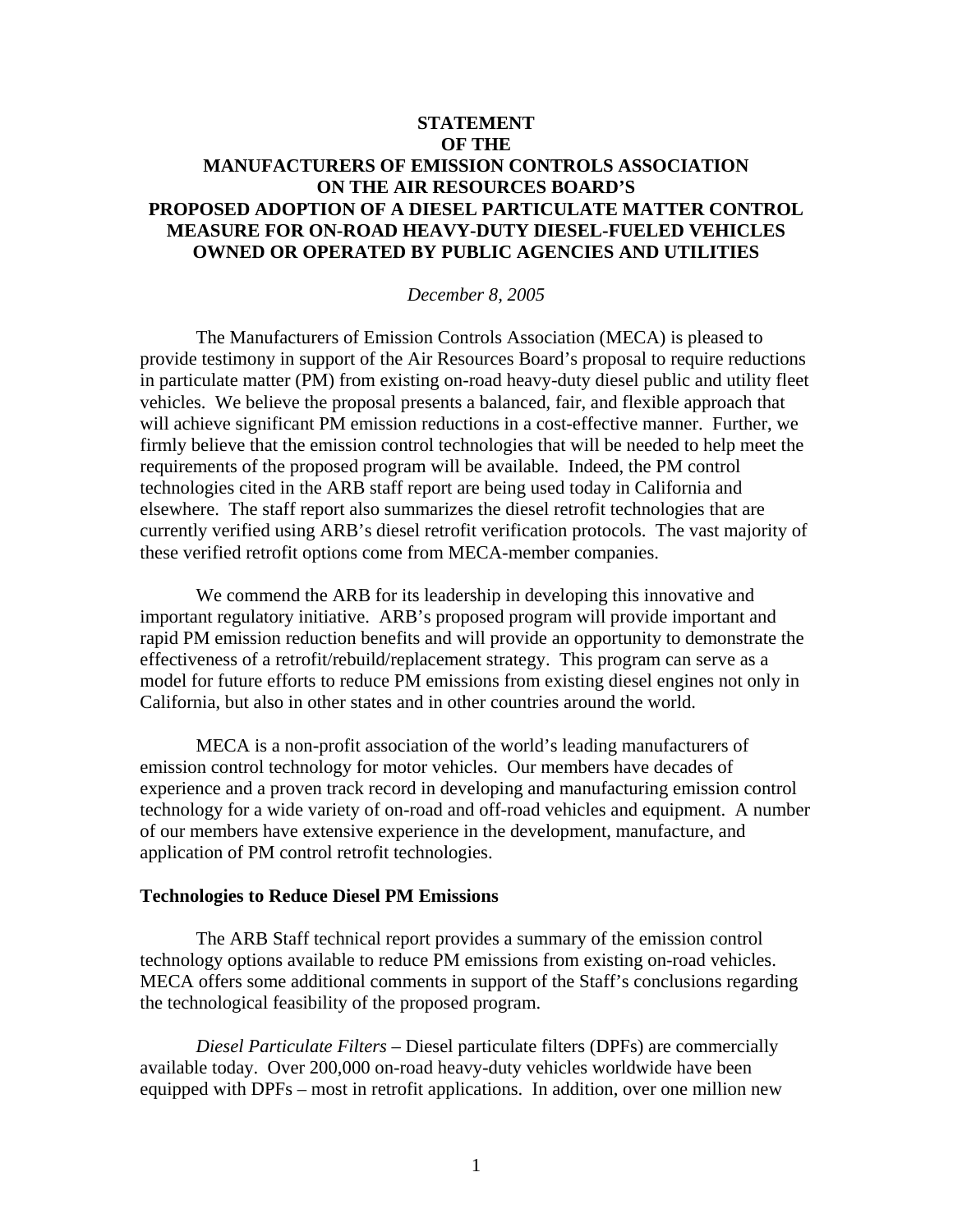## **STATEMENT OF THE MANUFACTURERS OF EMISSION CONTROLS ASSOCIATION ON THE AIR RESOURCES BOARD'S PROPOSED ADOPTION OF A DIESEL PARTICULATE MATTER CONTROL MEASURE FOR ON-ROAD HEAVY-DUTY DIESEL-FUELED VEHICLES OWNED OR OPERATED BY PUBLIC AGENCIES AND UTILITIES**

## *December 8, 2005*

 The Manufacturers of Emission Controls Association (MECA) is pleased to provide testimony in support of the Air Resources Board's proposal to require reductions in particulate matter (PM) from existing on-road heavy-duty diesel public and utility fleet vehicles. We believe the proposal presents a balanced, fair, and flexible approach that will achieve significant PM emission reductions in a cost-effective manner. Further, we firmly believe that the emission control technologies that will be needed to help meet the requirements of the proposed program will be available. Indeed, the PM control technologies cited in the ARB staff report are being used today in California and elsewhere. The staff report also summarizes the diesel retrofit technologies that are currently verified using ARB's diesel retrofit verification protocols. The vast majority of these verified retrofit options come from MECA-member companies.

We commend the ARB for its leadership in developing this innovative and important regulatory initiative. ARB's proposed program will provide important and rapid PM emission reduction benefits and will provide an opportunity to demonstrate the effectiveness of a retrofit/rebuild/replacement strategy. This program can serve as a model for future efforts to reduce PM emissions from existing diesel engines not only in California, but also in other states and in other countries around the world.

MECA is a non-profit association of the world's leading manufacturers of emission control technology for motor vehicles. Our members have decades of experience and a proven track record in developing and manufacturing emission control technology for a wide variety of on-road and off-road vehicles and equipment. A number of our members have extensive experience in the development, manufacture, and application of PM control retrofit technologies.

## **Technologies to Reduce Diesel PM Emissions**

The ARB Staff technical report provides a summary of the emission control technology options available to reduce PM emissions from existing on-road vehicles. MECA offers some additional comments in support of the Staff's conclusions regarding the technological feasibility of the proposed program.

*Diesel Particulate Filters –* Diesel particulate filters (DPFs) are commercially available today. Over 200,000 on-road heavy-duty vehicles worldwide have been equipped with DPFs – most in retrofit applications. In addition, over one million new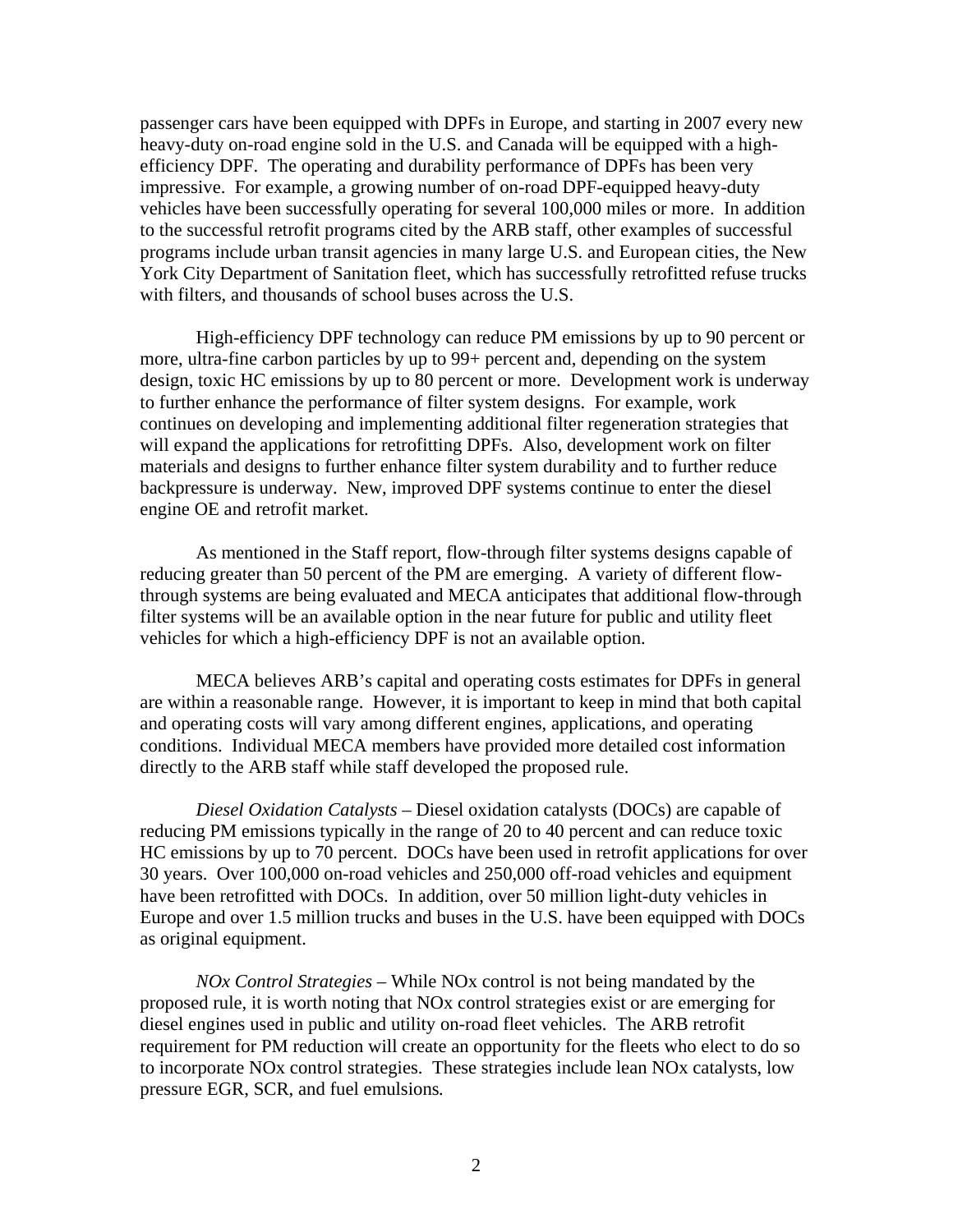passenger cars have been equipped with DPFs in Europe, and starting in 2007 every new heavy-duty on-road engine sold in the U.S. and Canada will be equipped with a highefficiency DPF. The operating and durability performance of DPFs has been very impressive. For example, a growing number of on-road DPF-equipped heavy-duty vehicles have been successfully operating for several 100,000 miles or more. In addition to the successful retrofit programs cited by the ARB staff, other examples of successful programs include urban transit agencies in many large U.S. and European cities, the New York City Department of Sanitation fleet, which has successfully retrofitted refuse trucks with filters, and thousands of school buses across the U.S.

High-efficiency DPF technology can reduce PM emissions by up to 90 percent or more, ultra-fine carbon particles by up to 99+ percent and, depending on the system design, toxic HC emissions by up to 80 percent or more. Development work is underway to further enhance the performance of filter system designs. For example, work continues on developing and implementing additional filter regeneration strategies that will expand the applications for retrofitting DPFs. Also, development work on filter materials and designs to further enhance filter system durability and to further reduce backpressure is underway. New, improved DPF systems continue to enter the diesel engine OE and retrofit market.

As mentioned in the Staff report, flow-through filter systems designs capable of reducing greater than 50 percent of the PM are emerging. A variety of different flowthrough systems are being evaluated and MECA anticipates that additional flow-through filter systems will be an available option in the near future for public and utility fleet vehicles for which a high-efficiency DPF is not an available option.

MECA believes ARB's capital and operating costs estimates for DPFs in general are within a reasonable range. However, it is important to keep in mind that both capital and operating costs will vary among different engines, applications, and operating conditions. Individual MECA members have provided more detailed cost information directly to the ARB staff while staff developed the proposed rule.

*Diesel Oxidation Catalysts –* Diesel oxidation catalysts (DOCs) are capable of reducing PM emissions typically in the range of 20 to 40 percent and can reduce toxic HC emissions by up to 70 percent. DOCs have been used in retrofit applications for over 30 years. Over 100,000 on-road vehicles and 250,000 off-road vehicles and equipment have been retrofitted with DOCs. In addition, over 50 million light-duty vehicles in Europe and over 1.5 million trucks and buses in the U.S. have been equipped with DOCs as original equipment.

*NOx Control Strategies –* While NOx control is not being mandated by the proposed rule, it is worth noting that NOx control strategies exist or are emerging for diesel engines used in public and utility on-road fleet vehicles. The ARB retrofit requirement for PM reduction will create an opportunity for the fleets who elect to do so to incorporate NOx control strategies. These strategies include lean NOx catalysts, low pressure EGR, SCR, and fuel emulsions*.*